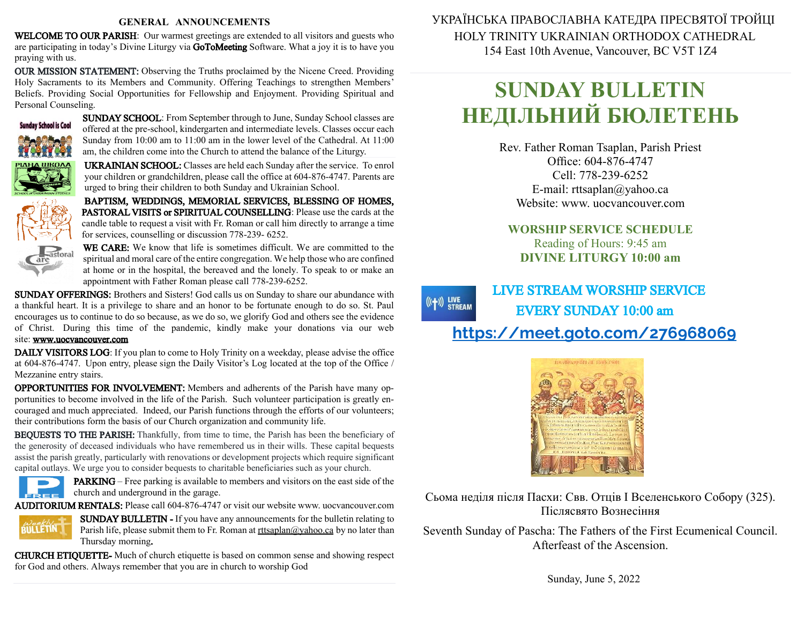#### **GENERAL ANNOUNCEMENTS**

WELCOME TO OUR PARISH: Our warmest greetings are extended to all visitors and guests who are participating in today's Divine Liturgy via GoToMeeting Software. What a joy it is to have you praying with us.

OUR MISSION STATEMENT: Observing the Truths proclaimed by the Nicene Creed. Providing Holy Sacraments to its Members and Community. Offering Teachings to strengthen Members' Beliefs. Providing Social Opportunities for Fellowship and Enjoyment. Providing Spiritual and Personal Counseling.



SUNDAY SCHOOL: From September through to June, Sunday School classes are offered at the pre-school, kindergarten and intermediate levels. Classes occur each Sunday from 10:00 am to 11:00 am in the lower level of the Cathedral. At 11:00 am, the children come into the Church to attend the balance of the Liturgy.

UKRAINIAN SCHOOL: Classes are held each Sunday after the service. To enrol your children or grandchildren, please call the office at 604-876-4747. Parents are urged to bring their children to both Sunday and Ukrainian School.

BAPTISM, WEDDINGS, MEMORIAL SERVICES, BLESSING OF HOMES, PASTORAL VISITS or SPIRITUAL COUNSELLING: Please use the cards at the candle table to request a visit with Fr. Roman or call him directly to arrange a time for services, counselling or discussion 778-239- 6252.



WE CARE: We know that life is sometimes difficult. We are committed to the spiritual and moral care of the entire congregation. We help those who are confined at home or in the hospital, the bereaved and the lonely. To speak to or make an appointment with Father Roman please call 778-239-6252.

SUNDAY OFFERINGS: Brothers and Sisters! God calls us on Sunday to share our abundance with a thankful heart. It is a privilege to share and an honor to be fortunate enough to do so. St. Paul encourages us to continue to do sobecause, as we do so, we glorify God and others see the evidence of Christ. During this time of the pandemic, kindly make your donations via our web site: [www.uocvancouver.com](http://www.uocvancouver.com/) 

DAILY VISITORS LOG: If you plan to come to Holy Trinity on a weekday, please advise the office at 604-876-4747. Upon entry, please sign the Daily Visitor's Log located at the top of the Office / Mezzanine entry stairs.

OPPORTUNITIES FOR INVOLVEMENT: Members and adherents of the Parish have many opportunities to become involved in the life of the Parish. Such volunteer participation is greatly encouraged and much appreciated. Indeed, our Parish functions through the efforts of our volunteers; their contributions form the basis of our Church organization and community life.

BEQUESTS TO THE PARISH: Thankfully, from time to time, the Parish has been the beneficiary of the generosity of deceased individuals who have remembered us in their wills. These capital bequests assist the parish greatly, particularly with renovations or development projects which require significant capital outlays. We urge you to consider bequests to charitable beneficiaries such as your church.



PARKING –Free parking is available to members and visitors on the east side of the  $c =$  church and underground in the garage.

AUDITORIUM RENTALS: Please call 604-876-4747 or visit our website www. uocvancouver.com



SUNDAY BULLETIN - If you have any announcements for the bulletin relating to Parish life, please submit them to Fr. Roman at  $rtt \frac{\partial y}{\partial x}$  and  $\frac{\partial y}{\partial y}$  and later than Thursday morning.

CHURCH ETIQUETTE- Much of church etiquette is based on common sense and showing respect for God and others. Always remember that you are in church to worship God

 УКРАЇНСЬКА ПРАВОСЛАВНА КАТЕДРА ПРЕСВЯТОЇ ТРОЙЦІ HOLY TRINITY UKRAINIAN ORTHODOX CATHEDRAL 154 East 10th Avenue, Vancouver, BC V5T 1Z4

# **SUNDAY BULLETIN НЕДІЛЬНИЙ БЮЛЕТЕНЬ**

Rev. Father Roman Tsaplan, Parish Priest Office: 604-876-4747 Cell: 778-239-6252 E-mail: rttsaplan@yahoo.ca Website: www. uocvancouver.com

### **WORSHIP SERVICE SCHEDULE** Reading of Hours: 9:45 am **DIVINE LITURGY 10:00 am**

#### LIVE STREAM WORSHIP SERVICE  $((+))$  LIVE<br>STREAM EVERY SUNDAY 10:00 am <https://meet.goto.com/276968069>



Сьома неділя після Пасхи: Свв. Отців І Вселенського Собору (325). Післясвято Вознесіння

Seventh Sunday of Pascha: The Fathers of the First Ecumenical Council. Afterfeast of the Ascension.

Sunday, June 5, 2022